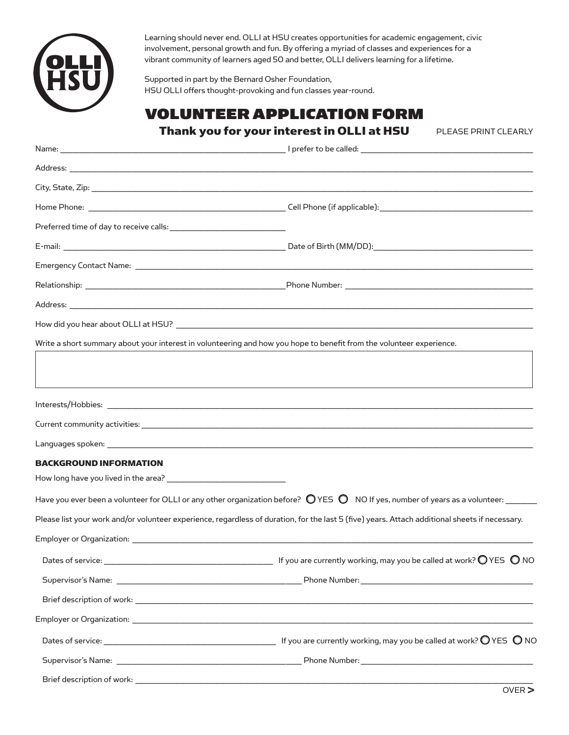

Brief description of work: \_\_

Learning should never end. OLLI at HSU creates opportunities for academic engagement, civic involvement, personal growth and fun. By offering a myriad of classes and experiences for a vibrant community of learners aged 50 and better, OLLI delivers learning for a lifetime.

Supported in part by the Bernard Osher Foundation, HSU OLLI offers thought-provoking and fun classes year-round.

## VOLUNTEER APPLICATION FORM

Thank you for your interest in OLLI at HSU

PLEASE PRINT CLEARLY

| Write a short summary about your interest in volunteering and how you hope to benefit from the volunteer experience. |                                                                                                                                                           |
|----------------------------------------------------------------------------------------------------------------------|-----------------------------------------------------------------------------------------------------------------------------------------------------------|
|                                                                                                                      |                                                                                                                                                           |
|                                                                                                                      |                                                                                                                                                           |
|                                                                                                                      |                                                                                                                                                           |
|                                                                                                                      |                                                                                                                                                           |
|                                                                                                                      |                                                                                                                                                           |
| <b>BACKGROUND INFORMATION</b>                                                                                        |                                                                                                                                                           |
|                                                                                                                      |                                                                                                                                                           |
|                                                                                                                      | Have you ever been a volunteer for OLLI or any other organization before? $\bigcirc$ YES $\bigcirc$ NO If yes, number of years as a volunteer: $\bigcirc$ |
|                                                                                                                      | Please list your work and/or volunteer experience, regardless of duration, for the last 5 (five) years. Attach additional sheets if necessary.            |
|                                                                                                                      |                                                                                                                                                           |
|                                                                                                                      | Dates of service: $\_\_\_\_\_\_\_\_$ 16 you are currently working, may you be called at work? $\mathbb O$ YES $\,\mathbb O$ NO                            |
|                                                                                                                      |                                                                                                                                                           |
|                                                                                                                      |                                                                                                                                                           |
|                                                                                                                      |                                                                                                                                                           |
|                                                                                                                      | Dates of service: $\_\_$                                                                                                                                  |
|                                                                                                                      |                                                                                                                                                           |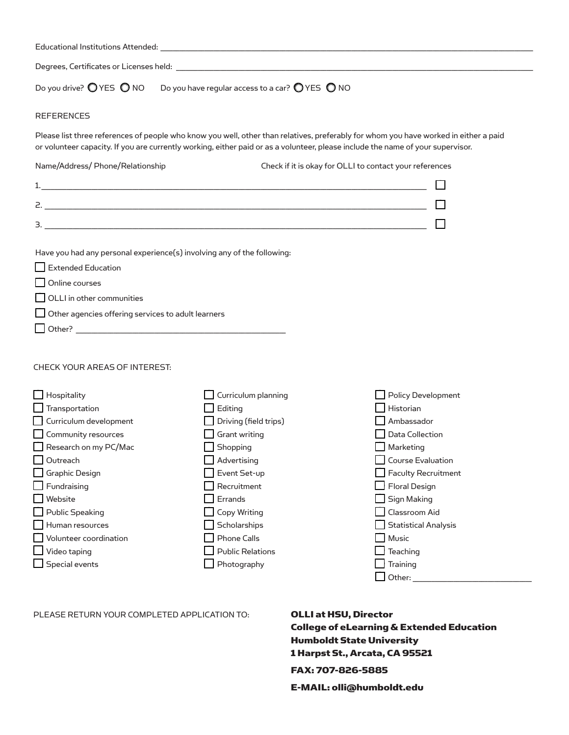| Do you drive? $\bigcirc$ YES $\bigcirc$ NO Do you have regular access to a car? $\bigcirc$ YES $\bigcirc$ NO                                                                                                          |                                                                                                                                                                                                                                                                         |                                                                                                                                                                                                                      |
|-----------------------------------------------------------------------------------------------------------------------------------------------------------------------------------------------------------------------|-------------------------------------------------------------------------------------------------------------------------------------------------------------------------------------------------------------------------------------------------------------------------|----------------------------------------------------------------------------------------------------------------------------------------------------------------------------------------------------------------------|
| <b>REFERENCES</b>                                                                                                                                                                                                     |                                                                                                                                                                                                                                                                         |                                                                                                                                                                                                                      |
|                                                                                                                                                                                                                       | Please list three references of people who know you well, other than relatives, preferably for whom you have worked in either a paid<br>or volunteer capacity. If you are currently working, either paid or as a volunteer, please include the name of your supervisor. |                                                                                                                                                                                                                      |
| Name/Address/ Phone/Relationship                                                                                                                                                                                      | Check if it is okay for OLLI to contact your references                                                                                                                                                                                                                 |                                                                                                                                                                                                                      |
|                                                                                                                                                                                                                       |                                                                                                                                                                                                                                                                         |                                                                                                                                                                                                                      |
|                                                                                                                                                                                                                       |                                                                                                                                                                                                                                                                         |                                                                                                                                                                                                                      |
|                                                                                                                                                                                                                       |                                                                                                                                                                                                                                                                         |                                                                                                                                                                                                                      |
|                                                                                                                                                                                                                       |                                                                                                                                                                                                                                                                         |                                                                                                                                                                                                                      |
| Have you had any personal experience(s) involving any of the following:<br>Extended Education<br>Online courses<br>OLLI in other communities<br>Other agencies offering services to adult learners                    |                                                                                                                                                                                                                                                                         |                                                                                                                                                                                                                      |
| CHECK YOUR AREAS OF INTEREST:                                                                                                                                                                                         |                                                                                                                                                                                                                                                                         |                                                                                                                                                                                                                      |
| $\Box$ Hospitality<br>$\Box$ Transportation<br>Curriculum development<br>Community resources<br>Research on my PC/Mac<br>$\Box$ Outreach<br>$\Box$ Graphic Design<br>$\Box$ Fundraising<br>Website<br>Public Speaking | Curriculum planning<br>Editing<br>Driving (field trips)<br><b>Grant writing</b><br>Shopping<br>Advertising<br>Event Set-up<br>Recruitment<br>Errands<br><b>Copy Writing</b>                                                                                             | <b>Policy Development</b><br>Historian<br>Ambassador<br><b>Data Collection</b><br>Marketing<br><b>Course Evaluation</b><br><b>Faculty Recruitment</b><br><b>Floral Design</b><br><b>Sign Making</b><br>Classroom Aid |
| Human resources<br>Volunteer coordination<br>Video taping<br>$\Box$ Special events                                                                                                                                    | Scholarships<br><b>Phone Calls</b><br><b>Public Relations</b><br>Photography                                                                                                                                                                                            | <b>Statistical Analysis</b><br>Music<br>Teaching<br>Training<br>Other:                                                                                                                                               |

PLEASE RETURN YOUR COMPLETED APPLICATION TO: **OLLI at HSU, Director** 

College of eLearning & Extended Education Humboldt State University 1 Harpst St., Arcata, CA 95521

## FAX: 707-826-5885

E-MAIL: olli@humboldt.edu